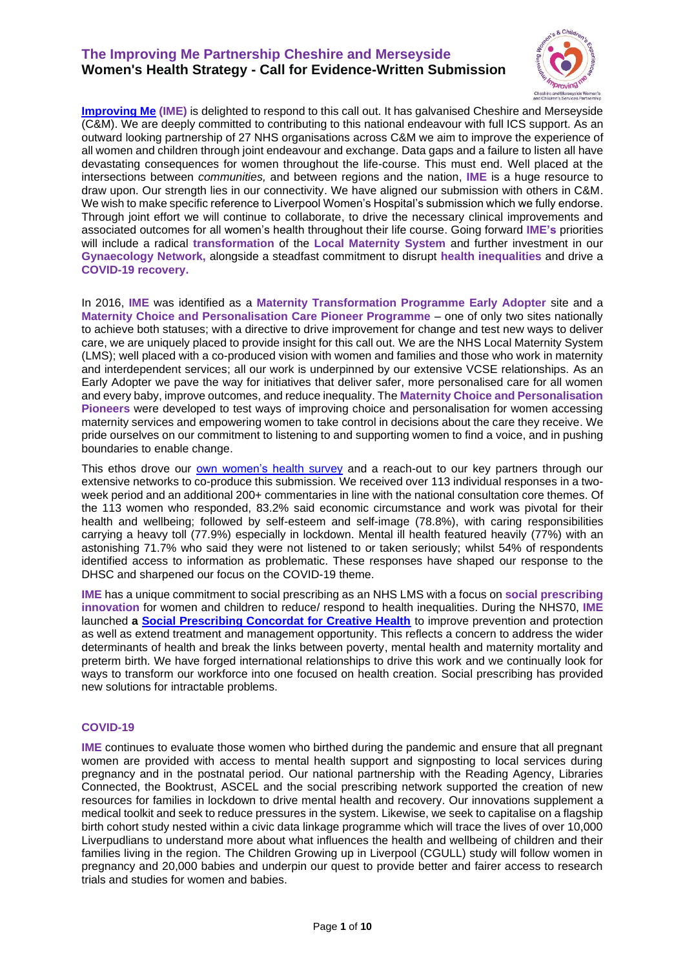

**[Improving Me](https://www.internationalwomensday.com/Mission/Health) (IME)** is delighted to respond to this call out. It has galvanised Cheshire and Merseyside (C&M). We are deeply committed to contributing to this national endeavour with full ICS support. As an outward looking partnership of 27 NHS organisations across C&M we aim to improve the experience of all women and children through joint endeavour and exchange. Data gaps and a failure to listen all have devastating consequences for women throughout the life-course. This must end. Well placed at the intersections between *communities,* and between regions and the nation, **IME** is a huge resource to draw upon. Our strength lies in our connectivity. We have aligned our submission with others in C&M. We wish to make specific reference to Liverpool Women's Hospital's submission which we fully endorse. Through joint effort we will continue to collaborate, to drive the necessary clinical improvements and associated outcomes for all women's health throughout their life course. Going forward **IME's** priorities will include a radical **transformation** of the **Local Maternity System** and further investment in our **Gynaecology Network,** alongside a steadfast commitment to disrupt **health inequalities** and drive a **COVID-19 recovery.**

In 2016, **IME** was identified as a **Maternity Transformation Programme Early Adopter** site and a **Maternity Choice and Personalisation Care Pioneer Programme** – one of only two sites nationally to achieve both statuses; with a directive to drive improvement for change and test new ways to deliver care, we are uniquely placed to provide insight for this call out. We are the NHS Local Maternity System (LMS); well placed with a co-produced vision with women and families and those who work in maternity and interdependent services; all our work is underpinned by our extensive VCSE relationships. As an Early Adopter we pave the way for initiatives that deliver safer, more personalised care for all women and every baby, improve outcomes, and reduce inequality. The **Maternity Choice and Personalisation Pioneers** were developed to test ways of improving choice and personalisation for women accessing maternity services and empowering women to take control in decisions about the care they receive. We pride ourselves on our commitment to listening to and supporting women to find a voice, and in pushing boundaries to enable change.

This ethos drove our [own women's health survey](https://www.improvingme.org.uk/community/womens-health-consultation/) and a reach-out to our key partners through our extensive networks to co-produce this submission. We received over 113 individual responses in a twoweek period and an additional 200+ commentaries in line with the national consultation core themes. Of the 113 women who responded, 83.2% said economic circumstance and work was pivotal for their health and wellbeing; followed by self-esteem and self-image (78.8%), with caring responsibilities carrying a heavy toll (77.9%) especially in lockdown. Mental ill health featured heavily (77%) with an astonishing 71.7% who said they were not listened to or taken seriously; whilst 54% of respondents identified access to information as problematic. These responses have shaped our response to the DHSC and sharpened our focus on the COVID-19 theme.

**IME** has a unique commitment to social prescribing as an NHS LMS with a focus on **social prescribing innovation** for women and children to reduce/ respond to health inequalities. During the NHS70, **IME** launched **a [Social Prescribing Concordat for Creative Health](https://www.improvingme.org.uk/about-us/news/a-social-prescribing-concordat-for-creative-health/)** to improve prevention and protection as well as extend treatment and management opportunity. This reflects a concern to address the wider determinants of health and break the links between poverty, mental health and maternity mortality and preterm birth. We have forged international relationships to drive this work and we continually look for ways to transform our workforce into one focused on health creation. Social prescribing has provided new solutions for intractable problems.

#### **COVID-19**

**IME** continues to evaluate those women who birthed during the pandemic and ensure that all pregnant women are provided with access to mental health support and signposting to local services during pregnancy and in the postnatal period. Our national partnership with the Reading Agency, Libraries Connected, the Booktrust, ASCEL and the social prescribing network supported the creation of new resources for families in lockdown to drive mental health and recovery. Our innovations supplement a medical toolkit and seek to reduce pressures in the system. Likewise, we seek to capitalise on a flagship birth cohort study nested within a civic data linkage programme which will trace the lives of over 10,000 Liverpudlians to understand more about what influences the health and wellbeing of children and their families living in the region. The Children Growing up in Liverpool (CGULL) study will follow women in pregnancy and 20,000 babies and underpin our quest to provide better and fairer access to research trials and studies for women and babies.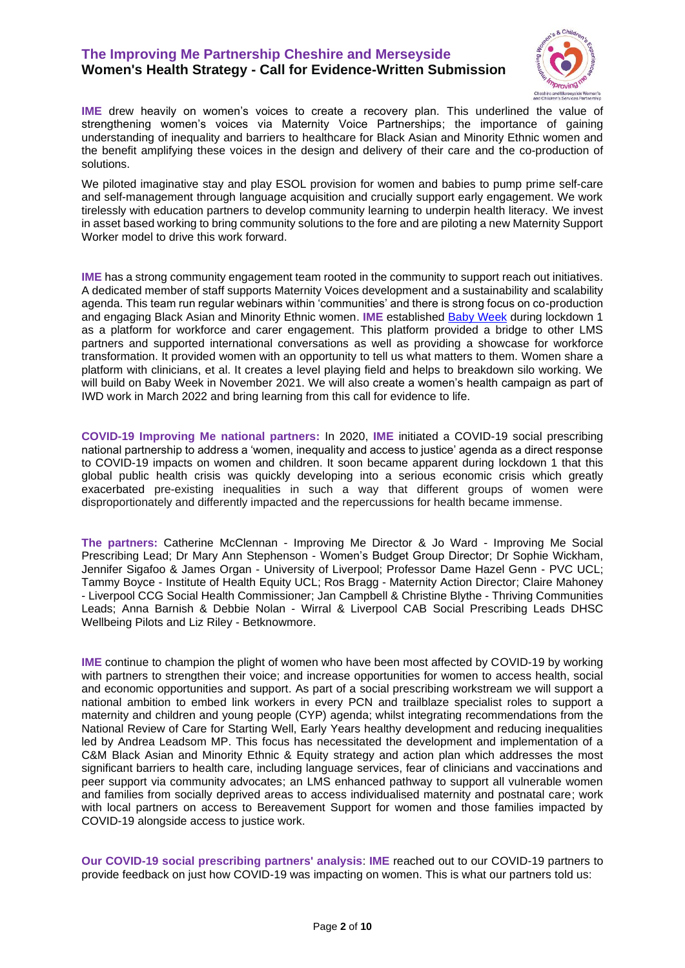

**IME** drew heavily on women's voices to create a recovery plan. This underlined the value of strengthening women's voices via Maternity Voice Partnerships; the importance of gaining understanding of inequality and barriers to healthcare for Black Asian and Minority Ethnic women and the benefit amplifying these voices in the design and delivery of their care and the co-production of solutions.

We piloted imaginative stay and play ESOL provision for women and babies to pump prime self-care and self-management through language acquisition and crucially support early engagement. We work tirelessly with education partners to develop community learning to underpin health literacy. We invest in asset based working to bring community solutions to the fore and are piloting a new Maternity Support Worker model to drive this work forward.

**IME** has a strong community engagement team rooted in the community to support reach out initiatives. A dedicated member of staff supports Maternity Voices development and a sustainability and scalability agenda. This team run regular webinars within 'communities' and there is strong focus on co-production and engaging Black Asian and Minority Ethnic women. **IME** established [Baby Week](https://www.improvingme.org.uk/about-us/news/baby-week-2020/#:~:text=Cheshire%20and%20Merseyside%20Baby%20Week%2016%20%2D%2022%20November%202020%20%2D%20Improving%20me) during lockdown 1 as a platform for workforce and carer engagement. This platform provided a bridge to other LMS partners and supported international conversations as well as providing a showcase for workforce transformation. It provided women with an opportunity to tell us what matters to them. Women share a platform with clinicians, et al. It creates a level playing field and helps to breakdown silo working. We will build on Baby Week in November 2021. We will also create a women's health campaign as part of IWD work in March 2022 and bring learning from this call for evidence to life.

**COVID-19 Improving Me national partners:** In 2020, **IME** initiated a COVID-19 social prescribing national partnership to address a 'women, inequality and access to justice' agenda as a direct response to COVID-19 impacts on women and children. It soon became apparent during lockdown 1 that this global public health crisis was quickly developing into a serious economic crisis which greatly exacerbated pre-existing inequalities in such a way that different groups of women were disproportionately and differently impacted and the repercussions for health became immense.

**The partners:** Catherine McClennan - Improving Me Director & Jo Ward - Improving Me Social Prescribing Lead; Dr Mary Ann Stephenson - Women's Budget Group Director; Dr Sophie Wickham, Jennifer Sigafoo & James Organ - University of Liverpool; Professor Dame Hazel Genn - PVC UCL; Tammy Boyce - Institute of Health Equity UCL; Ros Bragg - Maternity Action Director; Claire Mahoney - Liverpool CCG Social Health Commissioner; Jan Campbell & Christine Blythe - Thriving Communities Leads; Anna Barnish & Debbie Nolan - Wirral & Liverpool CAB Social Prescribing Leads DHSC Wellbeing Pilots and Liz Riley - Betknowmore.

**IME** continue to champion the plight of women who have been most affected by COVID-19 by working with partners to strengthen their voice; and increase opportunities for women to access health, social and economic opportunities and support. As part of a social prescribing workstream we will support a national ambition to embed link workers in every PCN and trailblaze specialist roles to support a maternity and children and young people (CYP) agenda; whilst integrating recommendations from the National Review of Care for Starting Well, Early Years healthy development and reducing inequalities led by Andrea Leadsom MP. This focus has necessitated the development and implementation of a C&M Black Asian and Minority Ethnic & Equity strategy and action plan which addresses the most significant barriers to health care, including language services, fear of clinicians and vaccinations and peer support via community advocates; an LMS enhanced pathway to support all vulnerable women and families from socially deprived areas to access individualised maternity and postnatal care; work with local partners on access to Bereavement Support for women and those families impacted by COVID-19 alongside access to justice work.

**Our COVID-19 social prescribing partners' analysis**: **IME** reached out to our COVID-19 partners to provide feedback on just how COVID-19 was impacting on women. This is what our partners told us: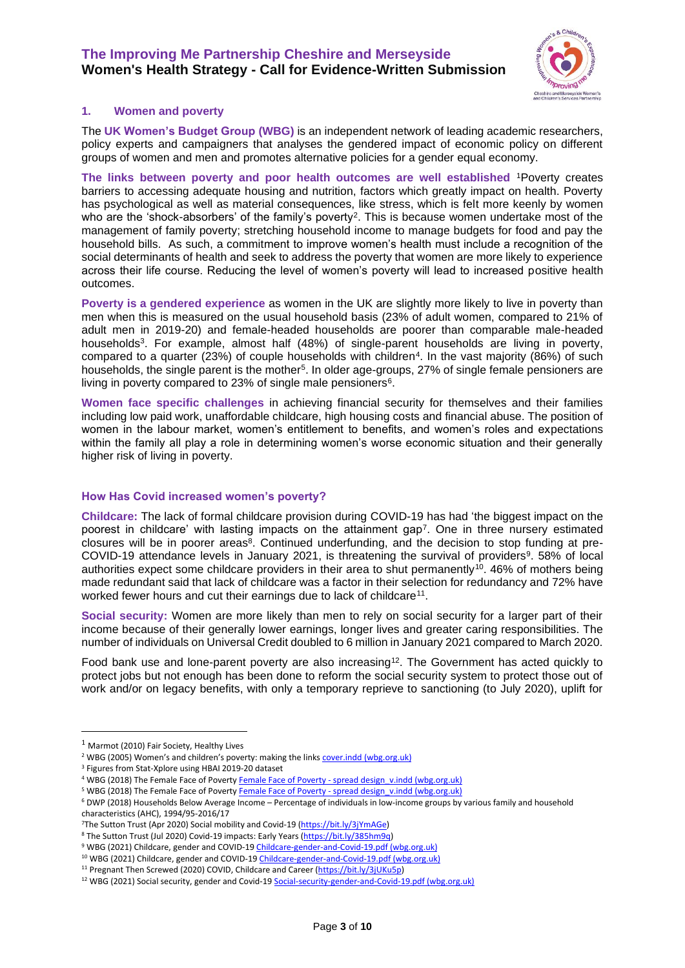

#### **1. Women and poverty**

The **UK Women's Budget Group (WBG)** is an independent network of leading academic researchers, policy experts and campaigners that analyses the gendered impact of economic policy on different groups of women and men and promotes alternative policies for a gender equal economy.

**The links between poverty and poor health outcomes are well established** <sup>1</sup>Poverty creates barriers to accessing adequate housing and nutrition, factors which greatly impact on health. Poverty has psychological as well as material consequences, like stress, which is felt more keenly by women who are the 'shock-absorbers' of the family's poverty<sup>2</sup>. This is because women undertake most of the management of family poverty; stretching household income to manage budgets for food and pay the household bills. As such, a commitment to improve women's health must include a recognition of the social determinants of health and seek to address the poverty that women are more likely to experience across their life course. Reducing the level of women's poverty will lead to increased positive health outcomes.

**Poverty is a gendered experience** as women in the UK are slightly more likely to live in poverty than men when this is measured on the usual household basis (23% of adult women, compared to 21% of adult men in 2019-20) and female-headed households are poorer than comparable male-headed households<sup>3</sup>. For example, almost half (48%) of single-parent households are living in poverty, compared to a quarter (23%) of couple households with children<sup>4</sup>. In the vast majority (86%) of such households, the single parent is the mother<sup>5</sup>. In older age-groups, 27% of single female pensioners are living in poverty compared to 23% of single male pensioners<sup>6</sup>.

**Women face specific challenges** in achieving financial security for themselves and their families including low paid work, unaffordable childcare, high housing costs and financial abuse. The position of women in the labour market, women's entitlement to benefits, and women's roles and expectations within the family all play a role in determining women's worse economic situation and their generally higher risk of living in poverty.

#### **How Has Covid increased women's poverty?**

**Childcare:** The lack of formal childcare provision during COVID-19 has had 'the biggest impact on the poorest in childcare' with lasting impacts on the attainment gap<sup>7</sup>. One in three nursery estimated closures will be in poorer areas<sup>8</sup>. Continued underfunding, and the decision to stop funding at pre-COVID-19 attendance levels in January 2021, is threatening the survival of providers<sup>9</sup>. 58% of local authorities expect some childcare providers in their area to shut permanently<sup>10</sup>. 46% of mothers being made redundant said that lack of childcare was a factor in their selection for redundancy and 72% have worked fewer hours and cut their earnings due to lack of childcare<sup>11</sup>.

**Social security:** Women are more likely than men to rely on social security for a larger part of their income because of their generally lower earnings, longer lives and greater caring responsibilities. The number of individuals on Universal Credit doubled to 6 million in January 2021 compared to March 2020.

Food bank use and lone-parent poverty are also increasing<sup>12</sup>. The Government has acted quickly to protect jobs but not enough has been done to reform the social security system to protect those out of work and/or on legacy benefits, with only a temporary reprieve to sanctioning (to July 2020), uplift for

<sup>&</sup>lt;sup>1</sup> Marmot (2010) Fair Society, Healthy Lives

<sup>&</sup>lt;sup>2</sup> WBG (2005) Women's and children's poverty: making the links [cover.indd \(wbg.org.uk\)](https://wbg.org.uk/wp-content/uploads/2018/09/wbg-women-and-childrens-poverty-march-2005.pdf)

<sup>&</sup>lt;sup>3</sup> Figures from Stat-Xplore using HBAI 2019-20 dataset

<sup>&</sup>lt;sup>4</sup> WBG (2018) The Female Face of Poverty Female Face of Poverty - spread design v.indd (wbg.org.uk)

<sup>&</sup>lt;sup>5</sup> WBG (2018) The Female Face of Poverty Female Face of Poverty - spread design v.indd (wbg.org.uk)

<sup>6</sup> DWP (2018) Households Below Average Income – Percentage of individuals in low-income groups by various family and household characteristics (AHC), 1994/95-2016/17

<sup>7</sup>The Sutton Trust (Apr 2020) Social mobility and Covid-19 [\(https://bit.ly/3jYmAGe\)](https://bit.ly/3jYmAGe)

<sup>8</sup> The Sutton Trust (Jul 2020) Covid-19 impacts: Early Years [\(https://bit.ly/385hm9q\)](https://bit.ly/385hm9q)

<sup>&</sup>lt;sup>9</sup> WBG (2021) Childcare, gender and COVID-1[9 Childcare-gender-and-Covid-19.pdf \(wbg.org.uk\)](https://wbg.org.uk/wp-content/uploads/2021/03/Childcare-gender-and-Covid-19.pdf)

<sup>&</sup>lt;sup>10</sup> WBG (2021) Childcare, gender and COVID-1[9 Childcare-gender-and-Covid-19.pdf \(wbg.org.uk\)](https://wbg.org.uk/wp-content/uploads/2021/03/Childcare-gender-and-Covid-19.pdf)

<sup>&</sup>lt;sup>11</sup> Pregnant Then Screwed (2020) COVID, Childcare and Career [\(https://bit.ly/3jUKu5p\)](https://bit.ly/3jUKu5p)

<sup>&</sup>lt;sup>12</sup> WBG (2021) Social security, gender and Covid-1[9 Social-security-gender-and-Covid-19.pdf \(wbg.org.uk\)](https://wbg.org.uk/wp-content/uploads/2021/03/Social-security-gender-and-Covid-19.pdf)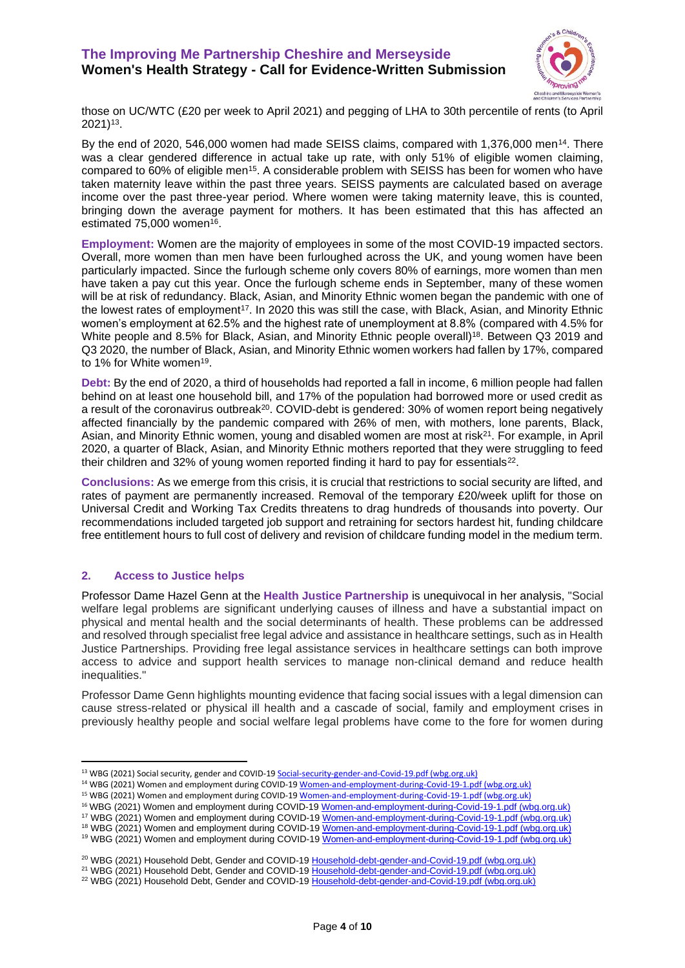

those on UC/WTC (£20 per week to April 2021) and pegging of LHA to 30th percentile of rents (to April 2021)<sup>13</sup>.

By the end of 2020, 546,000 women had made SEISS claims, compared with 1,376,000 men<sup>14</sup>. There was a clear gendered difference in actual take up rate, with only 51% of eligible women claiming, compared to 60% of eligible men<sup>15</sup>. A considerable problem with SEISS has been for women who have taken maternity leave within the past three years. SEISS payments are calculated based on average income over the past three-year period. Where women were taking maternity leave, this is counted, bringing down the average payment for mothers. It has been estimated that this has affected an estimated 75,000 women<sup>16</sup>.

**Employment:** Women are the majority of employees in some of the most COVID-19 impacted sectors. Overall, more women than men have been furloughed across the UK, and young women have been particularly impacted. Since the furlough scheme only covers 80% of earnings, more women than men have taken a pay cut this year. Once the furlough scheme ends in September, many of these women will be at risk of redundancy. Black, Asian, and Minority Ethnic women began the pandemic with one of the lowest rates of employment<sup>17</sup>. In 2020 this was still the case, with Black, Asian, and Minority Ethnic women's employment at 62.5% and the highest rate of unemployment at 8.8% (compared with 4.5% for White people and 8.5% for Black, Asian, and Minority Ethnic people overall)<sup>18</sup>. Between Q3 2019 and Q3 2020, the number of Black, Asian, and Minority Ethnic women workers had fallen by 17%, compared to 1% for White women<sup>19</sup>.

**Debt:** By the end of 2020, a third of households had reported a fall in income, 6 million people had fallen behind on at least one household bill, and 17% of the population had borrowed more or used credit as a result of the coronavirus outbreak<sup>20</sup>. COVID-debt is gendered: 30% of women report being negatively affected financially by the pandemic compared with 26% of men, with mothers, lone parents, Black, Asian, and Minority Ethnic women, young and disabled women are most at risk<sup>21</sup>. For example, in April 2020, a quarter of Black, Asian, and Minority Ethnic mothers reported that they were struggling to feed their children and 32% of young women reported finding it hard to pay for essentials<sup>22</sup>.

**Conclusions:** As we emerge from this crisis, it is crucial that restrictions to social security are lifted, and rates of payment are permanently increased. Removal of the temporary £20/week uplift for those on Universal Credit and Working Tax Credits threatens to drag hundreds of thousands into poverty. Our recommendations included targeted job support and retraining for sectors hardest hit, funding childcare free entitlement hours to full cost of delivery and revision of childcare funding model in the medium term.

#### **2. Access to Justice helps**

Professor Dame Hazel Genn at the **Health Justice Partnership** is unequivocal in her analysis, "Social welfare legal problems are significant underlying causes of illness and have a substantial impact on physical and mental health and the social determinants of health. These problems can be addressed and resolved through specialist free legal advice and assistance in healthcare settings, such as in Health Justice Partnerships. Providing free legal assistance services in healthcare settings can both improve access to advice and support health services to manage non-clinical demand and reduce health inequalities."

Professor Dame Genn highlights mounting evidence that facing social issues with a legal dimension can cause stress-related or physical ill health and a cascade of social, family and employment crises in previously healthy people and social welfare legal problems have come to the fore for women during

<sup>13</sup> WBG (2021) Social security, gender and COVID-1[9 Social-security-gender-and-Covid-19.pdf \(wbg.org.uk\)](https://wbg.org.uk/wp-content/uploads/2021/03/Social-security-gender-and-Covid-19.pdf)

<sup>&</sup>lt;sup>14</sup> WBG (2021) Women and employment during COVID-1[9 Women-and-employment-during-Covid-19-1.pdf \(wbg.org.uk\)](https://wbg.org.uk/wp-content/uploads/2021/03/Women-and-employment-during-Covid-19-1.pdf)

<sup>&</sup>lt;sup>15</sup> WBG (2021) Women and employment during COVID-1[9 Women-and-employment-during-Covid-19-1.pdf \(wbg.org.uk\)](https://wbg.org.uk/wp-content/uploads/2021/03/Women-and-employment-during-Covid-19-1.pdf)

<sup>16</sup> WBG (2021) Women and employment during COVID-1[9 Women-and-employment-during-Covid-19-1.pdf \(wbg.org.uk\)](https://wbg.org.uk/wp-content/uploads/2021/03/Women-and-employment-during-Covid-19-1.pdf)

<sup>&</sup>lt;sup>17</sup> WBG (2021) Women and employment during COVID-1[9 Women-and-employment-during-Covid-19-1.pdf \(wbg.org.uk\)](https://wbg.org.uk/wp-content/uploads/2021/03/Women-and-employment-during-Covid-19-1.pdf)

<sup>&</sup>lt;sup>18</sup> WBG (2021) Women and employment during COVID-1[9 Women-and-employment-during-Covid-19-1.pdf \(wbg.org.uk\)](https://wbg.org.uk/wp-content/uploads/2021/03/Women-and-employment-during-Covid-19-1.pdf)

<sup>19</sup> WBG (2021) Women and employment during COVID-1[9 Women-and-employment-during-Covid-19-1.pdf \(wbg.org.uk\)](https://wbg.org.uk/wp-content/uploads/2021/03/Women-and-employment-during-Covid-19-1.pdf)

<sup>&</sup>lt;sup>20</sup> WBG (2021) Household Debt, Gender and COVID-19 [Household-debt-gender-and-Covid-19.pdf \(wbg.org.uk\)](https://wbg.org.uk/wp-content/uploads/2021/03/Household-debt-gender-and-Covid-19.pdf)

<sup>&</sup>lt;sup>21</sup> WBG (2021) Household Debt, Gender and COVID-19 [Household-debt-gender-and-Covid-19.pdf \(wbg.org.uk\)](https://wbg.org.uk/wp-content/uploads/2021/03/Household-debt-gender-and-Covid-19.pdf)

<sup>22</sup> WBG (2021) Household Debt, Gender and COVID-19 [Household-debt-gender-and-Covid-19.pdf \(wbg.org.uk\)](https://wbg.org.uk/wp-content/uploads/2021/03/Household-debt-gender-and-Covid-19.pdf)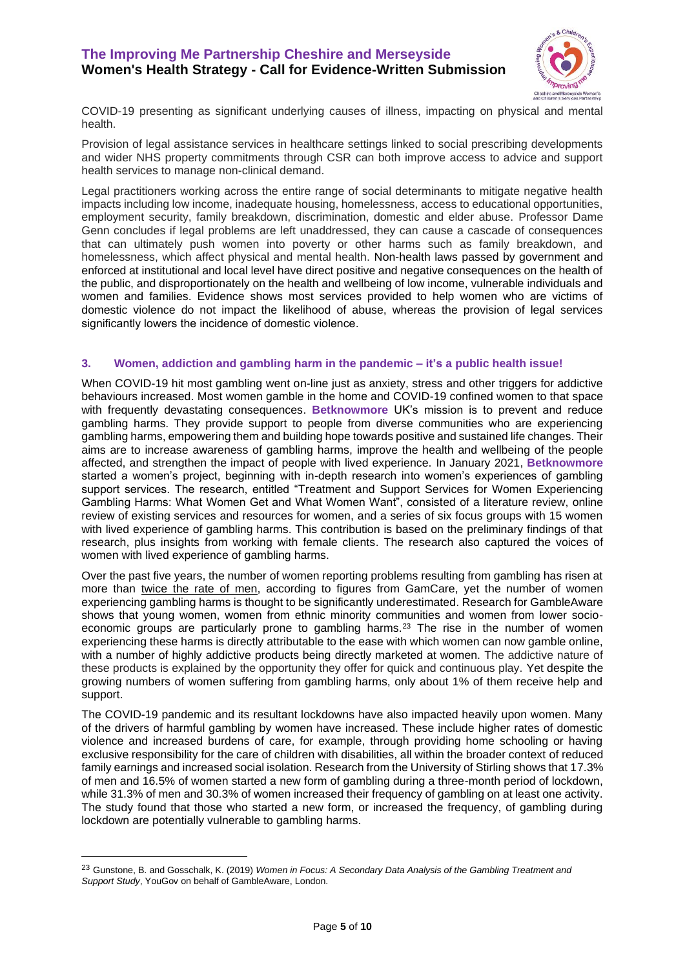

COVID-19 presenting as significant underlying causes of illness, impacting on physical and mental health.

Provision of legal assistance services in healthcare settings linked to social prescribing developments and wider NHS property commitments through CSR can both improve access to advice and support health services to manage non-clinical demand.

Legal practitioners working across the entire range of social determinants to mitigate negative health impacts including low income, inadequate housing, homelessness, access to educational opportunities, employment security, family breakdown, discrimination, domestic and elder abuse. Professor Dame Genn concludes if legal problems are left unaddressed, they can cause a cascade of consequences that can ultimately push women into poverty or other harms such as family breakdown, and homelessness, which affect physical and mental health. Non-health laws passed by government and enforced at institutional and local level have direct positive and negative consequences on the health of the public, and disproportionately on the health and wellbeing of low income, vulnerable individuals and women and families. Evidence shows most services provided to help women who are victims of domestic violence do not impact the likelihood of abuse, whereas the provision of legal services significantly lowers the incidence of domestic violence.

#### **3. Women, addiction and gambling harm in the pandemic – it's a public health issue!**

When COVID-19 hit most gambling went on-line just as anxiety, stress and other triggers for addictive behaviours increased. Most women gamble in the home and COVID-19 confined women to that space with frequently devastating consequences. **Betknowmore** UK's mission is to prevent and reduce gambling harms. They provide support to people from diverse communities who are experiencing gambling harms, empowering them and building hope towards positive and sustained life changes. Their aims are to increase awareness of gambling harms, improve the health and wellbeing of the people affected, and strengthen the impact of people with lived experience. In January 2021, **Betknowmore** started a women's project, beginning with in-depth research into women's experiences of gambling support services. The research, entitled "Treatment and Support Services for Women Experiencing Gambling Harms: What Women Get and What Women Want", consisted of a literature review, online review of existing services and resources for women, and a series of six focus groups with 15 women with lived experience of gambling harms. This contribution is based on the preliminary findings of that research, plus insights from working with female clients. The research also captured the voices of women with lived experience of gambling harms.

Over the past five years, the number of women reporting problems resulting from gambling has risen at more than twice the rate of men, according to figures from GamCare, yet the number of women experiencing gambling harms is thought to be significantly underestimated. Research for GambleAware shows that young women, women from ethnic minority communities and women from lower socioeconomic groups are particularly prone to gambling harms.<sup>23</sup> The rise in the number of women experiencing these harms is directly attributable to the ease with which women can now gamble online, with a number of highly addictive products being directly marketed at women. The addictive nature of these products is explained by the opportunity they offer for quick and continuous play. Yet despite the growing numbers of women suffering from gambling harms, only about 1% of them receive help and support.

The COVID-19 pandemic and its resultant lockdowns have also impacted heavily upon women. Many of the drivers of harmful gambling by women have increased. These include higher rates of domestic violence and increased burdens of care, for example, through providing home schooling or having exclusive responsibility for the care of children with disabilities, all within the broader context of reduced family earnings and increased social isolation. Research from the University of Stirling shows that 17.3% of men and 16.5% of women started a new form of gambling during a three-month period of lockdown, while 31.3% of men and 30.3% of women increased their frequency of gambling on at least one activity. The study found that those who started a new form, or increased the frequency, of gambling during lockdown are potentially vulnerable to gambling harms.

<sup>23</sup> Gunstone, B. and Gosschalk, K. (2019) *Women in Focus: A Secondary Data Analysis of the Gambling Treatment and Support Study*, YouGov on behalf of GambleAware, London.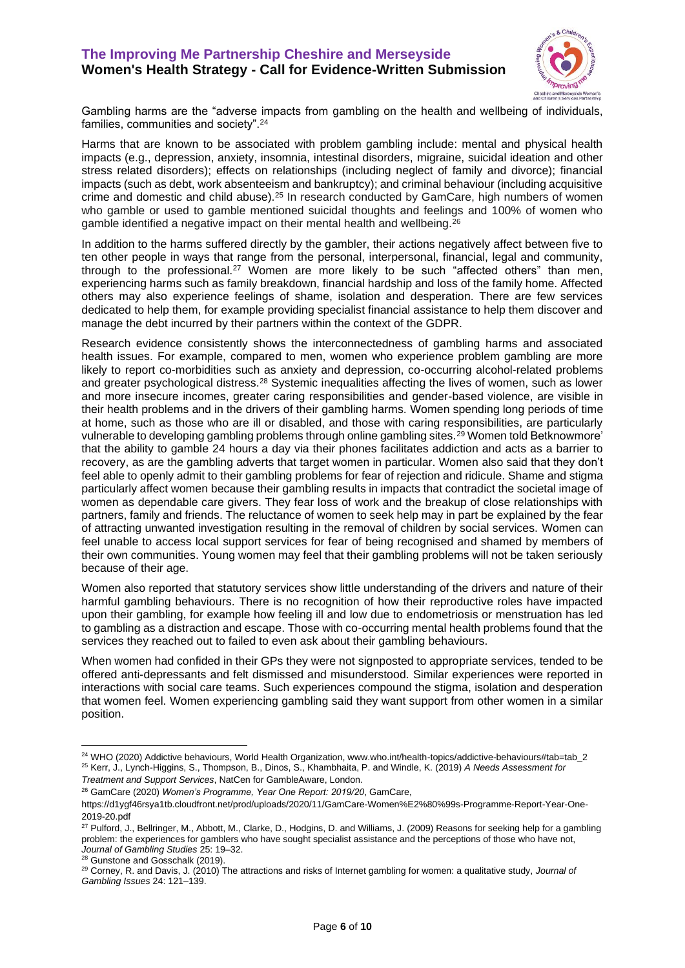

Gambling harms are the "adverse impacts from gambling on the health and wellbeing of individuals, families, communities and society".<sup>24</sup>

Harms that are known to be associated with problem gambling include: mental and physical health impacts (e.g., depression, anxiety, insomnia, intestinal disorders, migraine, suicidal ideation and other stress related disorders); effects on relationships (including neglect of family and divorce); financial impacts (such as debt, work absenteeism and bankruptcy); and criminal behaviour (including acquisitive crime and domestic and child abuse).<sup>25</sup> In research conducted by GamCare, high numbers of women who gamble or used to gamble mentioned suicidal thoughts and feelings and 100% of women who gamble identified a negative impact on their mental health and wellbeing.<sup>26</sup>

In addition to the harms suffered directly by the gambler, their actions negatively affect between five to ten other people in ways that range from the personal, interpersonal, financial, legal and community, through to the professional.<sup>27</sup> Women are more likely to be such "affected others" than men, experiencing harms such as family breakdown, financial hardship and loss of the family home. Affected others may also experience feelings of shame, isolation and desperation. There are few services dedicated to help them, for example providing specialist financial assistance to help them discover and manage the debt incurred by their partners within the context of the GDPR.

Research evidence consistently shows the interconnectedness of gambling harms and associated health issues. For example, compared to men, women who experience problem gambling are more likely to report co-morbidities such as anxiety and depression, co-occurring alcohol-related problems and greater psychological distress.<sup>28</sup> Systemic inequalities affecting the lives of women, such as lower and more insecure incomes, greater caring responsibilities and gender-based violence, are visible in their health problems and in the drivers of their gambling harms. Women spending long periods of time at home, such as those who are ill or disabled, and those with caring responsibilities, are particularly vulnerable to developing gambling problems through online gambling sites.<sup>29</sup> Women told Betknowmore' that the ability to gamble 24 hours a day via their phones facilitates addiction and acts as a barrier to recovery, as are the gambling adverts that target women in particular. Women also said that they don't feel able to openly admit to their gambling problems for fear of rejection and ridicule. Shame and stigma particularly affect women because their gambling results in impacts that contradict the societal image of women as dependable care givers. They fear loss of work and the breakup of close relationships with partners, family and friends. The reluctance of women to seek help may in part be explained by the fear of attracting unwanted investigation resulting in the removal of children by social services. Women can feel unable to access local support services for fear of being recognised and shamed by members of their own communities. Young women may feel that their gambling problems will not be taken seriously because of their age.

Women also reported that statutory services show little understanding of the drivers and nature of their harmful gambling behaviours. There is no recognition of how their reproductive roles have impacted upon their gambling, for example how feeling ill and low due to endometriosis or menstruation has led to gambling as a distraction and escape. Those with co-occurring mental health problems found that the services they reached out to failed to even ask about their gambling behaviours.

When women had confided in their GPs they were not signposted to appropriate services, tended to be offered anti-depressants and felt dismissed and misunderstood. Similar experiences were reported in interactions with social care teams. Such experiences compound the stigma, isolation and desperation that women feel. Women experiencing gambling said they want support from other women in a similar position.

<sup>26</sup> GamCare (2020) *Women's Programme, Year One Report: 2019/20*, GamCare,

<sup>28</sup> Gunstone and Gosschalk (2019).

<sup>&</sup>lt;sup>24</sup> WHO (2020) Addictive behaviours, World Health Organization, www.who.int/health-topics/addictive-behaviours#tab=tab\_2 <sup>25</sup> Kerr, J., Lynch-Higgins, S., Thompson, B., Dinos, S., Khambhaita, P. and Windle, K. (2019) *A Needs Assessment for Treatment and Support Services*, NatCen for GambleAware, London.

https://d1ygf46rsya1tb.cloudfront.net/prod/uploads/2020/11/GamCare-Women%E2%80%99s-Programme-Report-Year-One-2019-20.pdf

<sup>&</sup>lt;sup>27</sup> Pulford, J., Bellringer, M., Abbott, M., Clarke, D., Hodgins, D. and Williams, J. (2009) Reasons for seeking help for a gambling problem: the experiences for gamblers who have sought specialist assistance and the perceptions of those who have not, *Journal of Gambling Studies* 25: 19–32.

<sup>29</sup> Corney, R. and Davis, J. (2010) The attractions and risks of Internet gambling for women: a qualitative study, *Journal of Gambling Issues* 24: 121–139.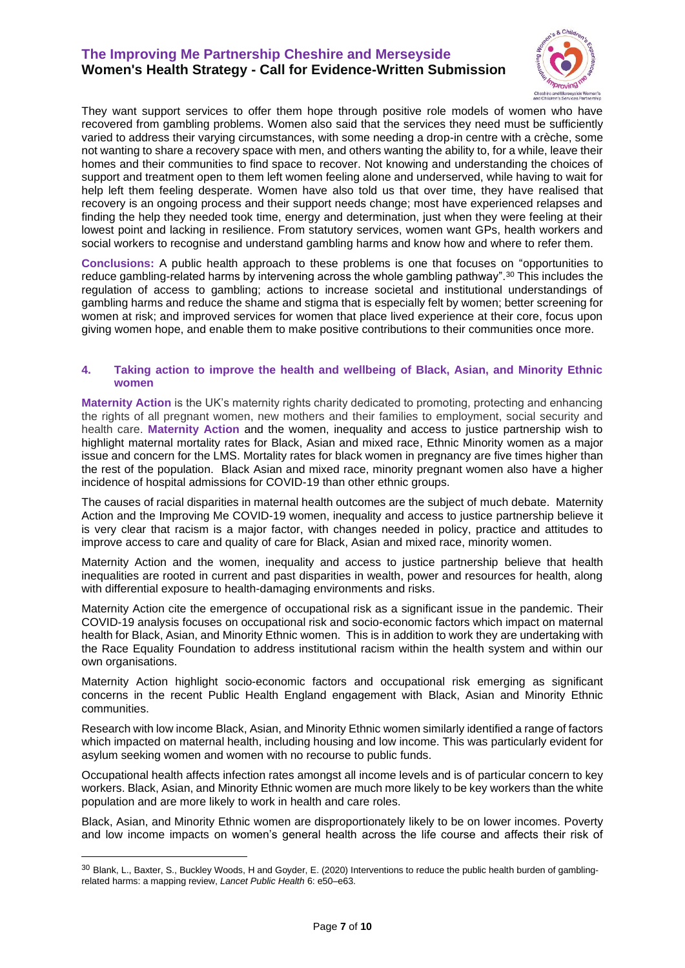

They want support services to offer them hope through positive role models of women who have recovered from gambling problems. Women also said that the services they need must be sufficiently varied to address their varying circumstances, with some needing a drop-in centre with a crèche, some not wanting to share a recovery space with men, and others wanting the ability to, for a while, leave their homes and their communities to find space to recover. Not knowing and understanding the choices of support and treatment open to them left women feeling alone and underserved, while having to wait for help left them feeling desperate. Women have also told us that over time, they have realised that recovery is an ongoing process and their support needs change; most have experienced relapses and finding the help they needed took time, energy and determination, just when they were feeling at their lowest point and lacking in resilience. From statutory services, women want GPs, health workers and social workers to recognise and understand gambling harms and know how and where to refer them.

**Conclusions:** A public health approach to these problems is one that focuses on "opportunities to reduce gambling-related harms by intervening across the whole gambling pathway".<sup>30</sup> This includes the regulation of access to gambling; actions to increase societal and institutional understandings of gambling harms and reduce the shame and stigma that is especially felt by women; better screening for women at risk; and improved services for women that place lived experience at their core, focus upon giving women hope, and enable them to make positive contributions to their communities once more.

#### **4. Taking action to improve the health and wellbeing of Black, Asian, and Minority Ethnic women**

**Maternity Action** is the UK's maternity rights charity dedicated to promoting, protecting and enhancing the rights of all pregnant women, new mothers and their families to employment, social security and health care. **Maternity Action** and the women, inequality and access to justice partnership wish to highlight maternal mortality rates for Black, Asian and mixed race, Ethnic Minority women as a major issue and concern for the LMS. Mortality rates for black women in pregnancy are five times higher than the rest of the population. Black Asian and mixed race, minority pregnant women also have a higher incidence of hospital admissions for COVID-19 than other ethnic groups.

The causes of racial disparities in maternal health outcomes are the subject of much debate. Maternity Action and the Improving Me COVID-19 women, inequality and access to justice partnership believe it is very clear that racism is a major factor, with changes needed in policy, practice and attitudes to improve access to care and quality of care for Black, Asian and mixed race, minority women.

Maternity Action and the women, inequality and access to justice partnership believe that health inequalities are rooted in current and past disparities in wealth, power and resources for health, along with differential exposure to health-damaging environments and risks.

Maternity Action cite the emergence of occupational risk as a significant issue in the pandemic. Their COVID-19 analysis focuses on occupational risk and socio-economic factors which impact on maternal health for Black, Asian, and Minority Ethnic women. This is in addition to work they are undertaking with the Race Equality Foundation to address institutional racism within the health system and within our own organisations.

Maternity Action highlight socio-economic factors and occupational risk emerging as significant concerns in the recent Public Health England engagement with Black, Asian and Minority Ethnic communities.

Research with low income Black, Asian, and Minority Ethnic women similarly identified a range of factors which impacted on maternal health, including housing and low income. This was particularly evident for asylum seeking women and women with no recourse to public funds.

Occupational health affects infection rates amongst all income levels and is of particular concern to key workers. Black, Asian, and Minority Ethnic women are much more likely to be key workers than the white population and are more likely to work in health and care roles.

Black, Asian, and Minority Ethnic women are disproportionately likely to be on lower incomes. Poverty and low income impacts on women's general health across the life course and affects their risk of

<sup>&</sup>lt;sup>30</sup> Blank, L., Baxter, S., Buckley Woods, H and Goyder, E. (2020) Interventions to reduce the public health burden of gamblingrelated harms: a mapping review, *Lancet Public Health* 6: e50–e63.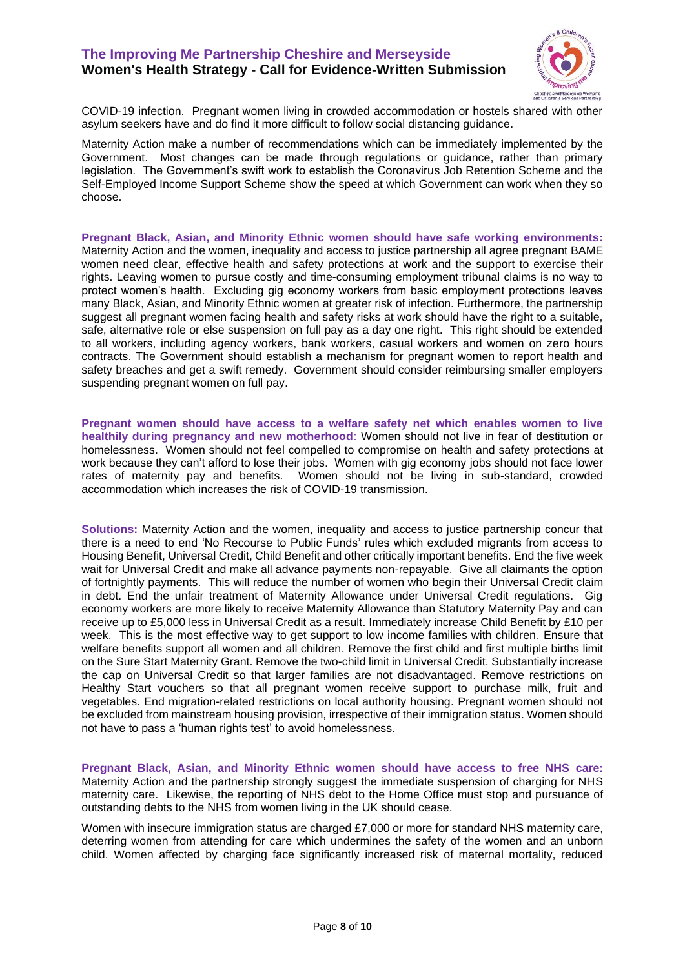

COVID-19 infection. Pregnant women living in crowded accommodation or hostels shared with other asylum seekers have and do find it more difficult to follow social distancing guidance.

Maternity Action make a number of recommendations which can be immediately implemented by the Government. Most changes can be made through regulations or guidance, rather than primary legislation. The Government's swift work to establish the Coronavirus Job Retention Scheme and the Self-Employed Income Support Scheme show the speed at which Government can work when they so choose.

**Pregnant Black, Asian, and Minority Ethnic women should have safe working environments:** Maternity Action and the women, inequality and access to justice partnership all agree pregnant BAME women need clear, effective health and safety protections at work and the support to exercise their rights. Leaving women to pursue costly and time-consuming employment tribunal claims is no way to protect women's health. Excluding gig economy workers from basic employment protections leaves many Black, Asian, and Minority Ethnic women at greater risk of infection. Furthermore, the partnership suggest all pregnant women facing health and safety risks at work should have the right to a suitable, safe, alternative role or else suspension on full pay as a day one right. This right should be extended to all workers, including agency workers, bank workers, casual workers and women on zero hours contracts. The Government should establish a mechanism for pregnant women to report health and safety breaches and get a swift remedy. Government should consider reimbursing smaller employers suspending pregnant women on full pay.

**Pregnant women should have access to a welfare safety net which enables women to live healthily during pregnancy and new motherhood**: Women should not live in fear of destitution or homelessness. Women should not feel compelled to compromise on health and safety protections at work because they can't afford to lose their jobs. Women with gig economy jobs should not face lower rates of maternity pay and benefits. Women should not be living in sub-standard, crowded accommodation which increases the risk of COVID-19 transmission.

**Solutions:** Maternity Action and the women, inequality and access to justice partnership concur that there is a need to end 'No Recourse to Public Funds' rules which excluded migrants from access to Housing Benefit, Universal Credit, Child Benefit and other critically important benefits. End the five week wait for Universal Credit and make all advance payments non-repayable. Give all claimants the option of fortnightly payments. This will reduce the number of women who begin their Universal Credit claim in debt. End the unfair treatment of Maternity Allowance under Universal Credit regulations. Gig economy workers are more likely to receive Maternity Allowance than Statutory Maternity Pay and can receive up to £5,000 less in Universal Credit as a result. Immediately increase Child Benefit by £10 per week. This is the most effective way to get support to low income families with children. Ensure that welfare benefits support all women and all children. Remove the first child and first multiple births limit on the Sure Start Maternity Grant. Remove the two-child limit in Universal Credit. Substantially increase the cap on Universal Credit so that larger families are not disadvantaged. Remove restrictions on Healthy Start vouchers so that all pregnant women receive support to purchase milk, fruit and vegetables. End migration-related restrictions on local authority housing. Pregnant women should not be excluded from mainstream housing provision, irrespective of their immigration status. Women should not have to pass a 'human rights test' to avoid homelessness.

**Pregnant Black, Asian, and Minority Ethnic women should have access to free NHS care:** Maternity Action and the partnership strongly suggest the immediate suspension of charging for NHS maternity care. Likewise, the reporting of NHS debt to the Home Office must stop and pursuance of outstanding debts to the NHS from women living in the UK should cease.

Women with insecure immigration status are charged £7,000 or more for standard NHS maternity care, deterring women from attending for care which undermines the safety of the women and an unborn child. Women affected by charging face significantly increased risk of maternal mortality, reduced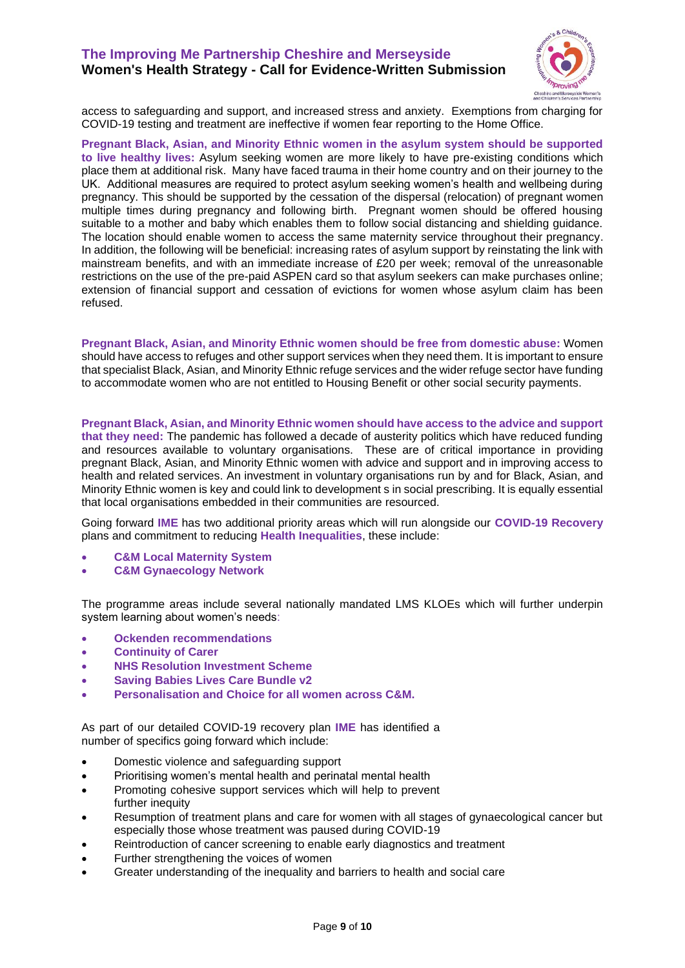

access to safeguarding and support, and increased stress and anxiety. Exemptions from charging for COVID-19 testing and treatment are ineffective if women fear reporting to the Home Office.

**Pregnant Black, Asian, and Minority Ethnic women in the asylum system should be supported to live healthy lives:** Asylum seeking women are more likely to have pre-existing conditions which place them at additional risk. Many have faced trauma in their home country and on their journey to the UK. Additional measures are required to protect asylum seeking women's health and wellbeing during pregnancy. This should be supported by the cessation of the dispersal (relocation) of pregnant women multiple times during pregnancy and following birth. Pregnant women should be offered housing suitable to a mother and baby which enables them to follow social distancing and shielding guidance. The location should enable women to access the same maternity service throughout their pregnancy. In addition, the following will be beneficial: increasing rates of asylum support by reinstating the link with mainstream benefits, and with an immediate increase of £20 per week; removal of the unreasonable restrictions on the use of the pre-paid ASPEN card so that asylum seekers can make purchases online; extension of financial support and cessation of evictions for women whose asylum claim has been refused.

**Pregnant Black, Asian, and Minority Ethnic women should be free from domestic abuse:** Women should have access to refuges and other support services when they need them. It is important to ensure that specialist Black, Asian, and Minority Ethnic refuge services and the wider refuge sector have funding to accommodate women who are not entitled to Housing Benefit or other social security payments.

**Pregnant Black, Asian, and Minority Ethnic women should have access to the advice and support that they need:** The pandemic has followed a decade of austerity politics which have reduced funding and resources available to voluntary organisations. These are of critical importance in providing pregnant Black, Asian, and Minority Ethnic women with advice and support and in improving access to health and related services. An investment in voluntary organisations run by and for Black, Asian, and Minority Ethnic women is key and could link to development s in social prescribing. It is equally essential that local organisations embedded in their communities are resourced.

Going forward **IME** has two additional priority areas which will run alongside our **COVID-19 Recovery**  plans and commitment to reducing **Health Inequalities**, these include:

- **C&M Local Maternity System**
- **C&M Gynaecology Network**

The programme areas include several nationally mandated LMS KLOEs which will further underpin system learning about women's needs:

- **Ockenden recommendations**
- **Continuity of Carer**
- **NHS Resolution Investment Scheme**
- **Saving Babies Lives Care Bundle v2**
- **Personalisation and Choice for all women across C&M.**

As part of our detailed COVID-19 recovery plan **IME** has identified a number of specifics going forward which include:

- Domestic violence and safeguarding support
- Prioritising women's mental health and perinatal mental health
- Promoting cohesive support services which will help to prevent further inequity
- Resumption of treatment plans and care for women with all stages of gynaecological cancer but especially those whose treatment was paused during COVID-19
- Reintroduction of cancer screening to enable early diagnostics and treatment
- Further strengthening the voices of women
- Greater understanding of the inequality and barriers to health and social care